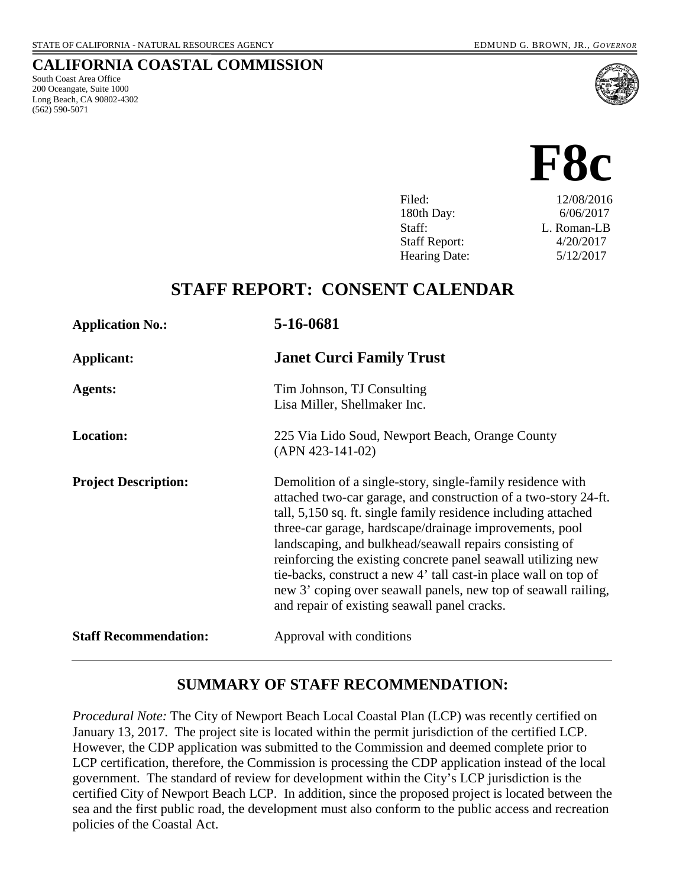South Coast Area Office 200 Oceangate, Suite 1000 Long Beach, CA 90802-4302

(562) 590-5071

**CALIFORNIA COASTAL COMMISSION**

# **F8c**

| Filed:               | 12/08/2016  |
|----------------------|-------------|
| 180th Day:           | 6/06/2017   |
| Staff:               | L. Roman-LB |
| <b>Staff Report:</b> | 4/20/2017   |
| <b>Hearing Date:</b> | 5/12/2017   |
|                      |             |

# **STAFF REPORT: CONSENT CALENDAR**

| <b>Application No.:</b>      | 5-16-0681                                                                                                                                                                                                                                                                                                                                                                                                                                                                                                                                                                   |
|------------------------------|-----------------------------------------------------------------------------------------------------------------------------------------------------------------------------------------------------------------------------------------------------------------------------------------------------------------------------------------------------------------------------------------------------------------------------------------------------------------------------------------------------------------------------------------------------------------------------|
| Applicant:                   | <b>Janet Curci Family Trust</b>                                                                                                                                                                                                                                                                                                                                                                                                                                                                                                                                             |
| <b>Agents:</b>               | Tim Johnson, TJ Consulting<br>Lisa Miller, Shellmaker Inc.                                                                                                                                                                                                                                                                                                                                                                                                                                                                                                                  |
| <b>Location:</b>             | 225 Via Lido Soud, Newport Beach, Orange County<br>$(APN 423-141-02)$                                                                                                                                                                                                                                                                                                                                                                                                                                                                                                       |
| <b>Project Description:</b>  | Demolition of a single-story, single-family residence with<br>attached two-car garage, and construction of a two-story 24-ft.<br>tall, 5,150 sq. ft. single family residence including attached<br>three-car garage, hardscape/drainage improvements, pool<br>landscaping, and bulkhead/seawall repairs consisting of<br>reinforcing the existing concrete panel seawall utilizing new<br>tie-backs, construct a new 4' tall cast-in place wall on top of<br>new 3' coping over seawall panels, new top of seawall railing,<br>and repair of existing seawall panel cracks. |
| <b>Staff Recommendation:</b> | Approval with conditions                                                                                                                                                                                                                                                                                                                                                                                                                                                                                                                                                    |

# **SUMMARY OF STAFF RECOMMENDATION:**

*Procedural Note:* The City of Newport Beach Local Coastal Plan (LCP) was recently certified on January 13, 2017. The project site is located within the permit jurisdiction of the certified LCP. However, the CDP application was submitted to the Commission and deemed complete prior to LCP certification, therefore, the Commission is processing the CDP application instead of the local government. The standard of review for development within the City's LCP jurisdiction is the certified City of Newport Beach LCP. In addition, since the proposed project is located between the sea and the first public road, the development must also conform to the public access and recreation policies of the Coastal Act.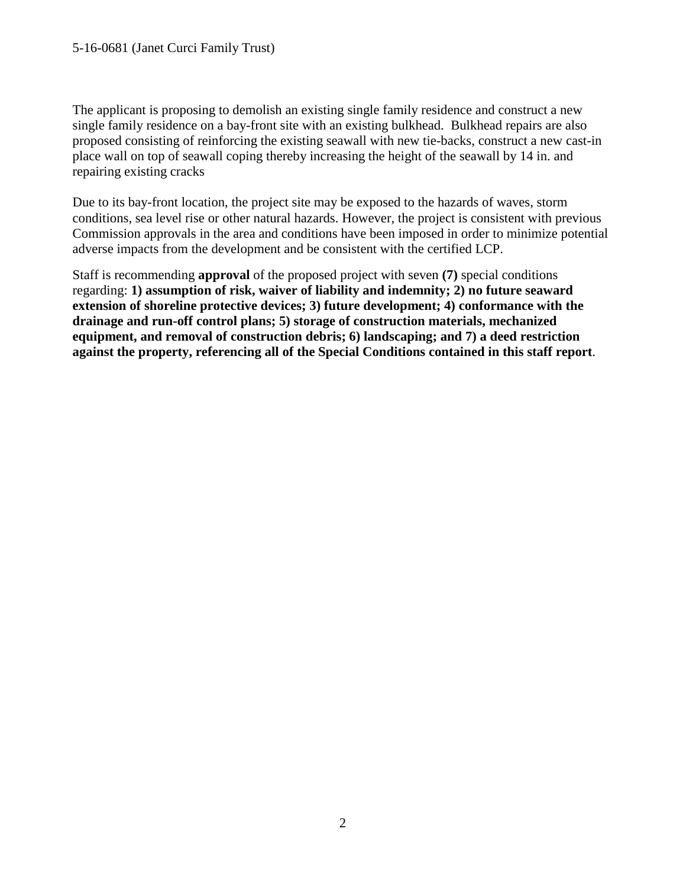The applicant is proposing to demolish an existing single family residence and construct a new single family residence on a bay-front site with an existing bulkhead. Bulkhead repairs are also proposed consisting of reinforcing the existing seawall with new tie-backs, construct a new cast-in place wall on top of seawall coping thereby increasing the height of the seawall by 14 in. and repairing existing cracks

Due to its bay-front location, the project site may be exposed to the hazards of waves, storm conditions, sea level rise or other natural hazards. However, the project is consistent with previous Commission approvals in the area and conditions have been imposed in order to minimize potential adverse impacts from the development and be consistent with the certified LCP.

Staff is recommending **approval** of the proposed project with seven **(7)** special conditions regarding: **1) assumption of risk, waiver of liability and indemnity; 2) no future seaward extension of shoreline protective devices; 3) future development; 4) conformance with the drainage and run-off control plans; 5) storage of construction materials, mechanized equipment, and removal of construction debris; 6) landscaping; and 7) a deed restriction against the property, referencing all of the Special Conditions contained in this staff report**.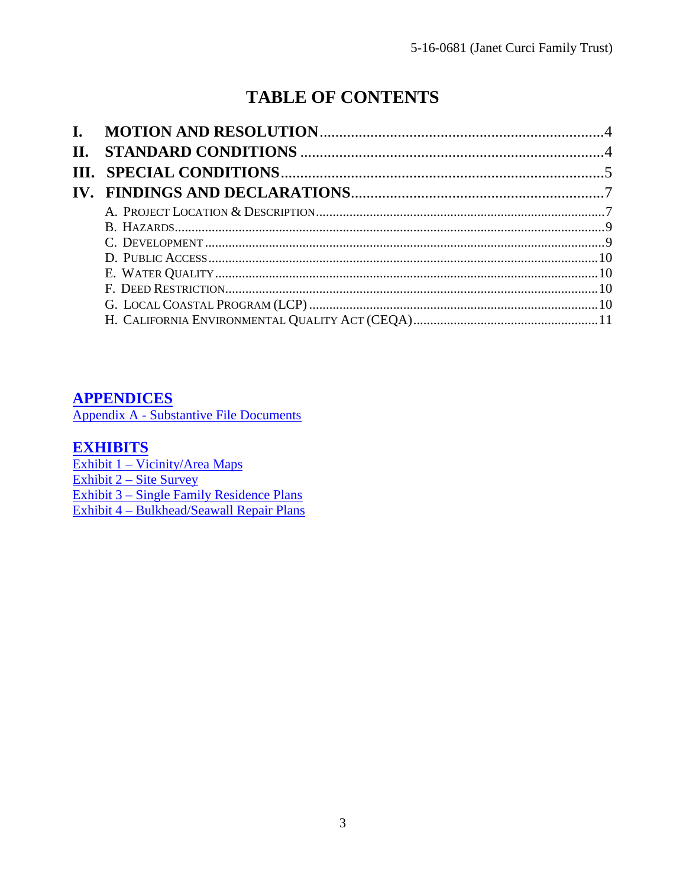# **TABLE OF CONTENTS**

| <b>II.</b> |  |
|------------|--|
|            |  |
|            |  |
|            |  |
|            |  |
|            |  |
|            |  |
|            |  |
|            |  |
|            |  |
|            |  |

# **APPENDICES**

Appendix A - Substantive File Documents

## **EXHIBITS**

Exhibit 1 - Vicinity/Area Maps Exhibit  $2 - \text{Site Survey}$ Exhibit 3 – Single Family Residence Plans Exhibit 4 – Bulkhead/Seawall Repair Plans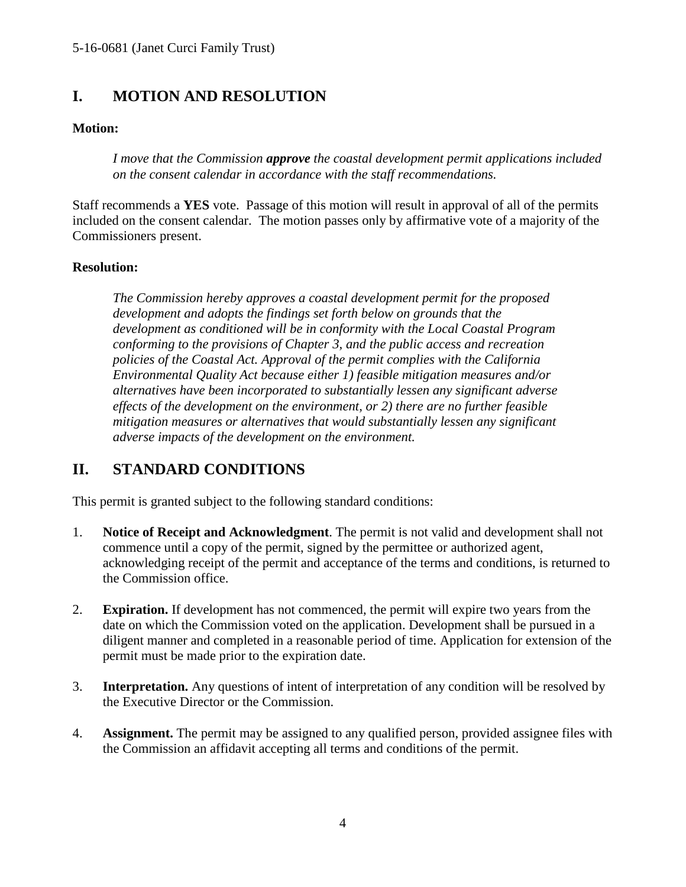# <span id="page-3-0"></span>**I. MOTION AND RESOLUTION**

### **Motion:**

*I move that the Commission approve the coastal development permit applications included on the consent calendar in accordance with the staff recommendations.*

Staff recommends a **YES** vote. Passage of this motion will result in approval of all of the permits included on the consent calendar. The motion passes only by affirmative vote of a majority of the Commissioners present.

#### **Resolution:**

*The Commission hereby approves a coastal development permit for the proposed development and adopts the findings set forth below on grounds that the development as conditioned will be in conformity with the Local Coastal Program conforming to the provisions of Chapter 3, and the public access and recreation policies of the Coastal Act. Approval of the permit complies with the California Environmental Quality Act because either 1) feasible mitigation measures and/or alternatives have been incorporated to substantially lessen any significant adverse effects of the development on the environment, or 2) there are no further feasible mitigation measures or alternatives that would substantially lessen any significant adverse impacts of the development on the environment.* 

# <span id="page-3-1"></span>**II. STANDARD CONDITIONS**

This permit is granted subject to the following standard conditions:

- 1. **Notice of Receipt and Acknowledgment**. The permit is not valid and development shall not commence until a copy of the permit, signed by the permittee or authorized agent, acknowledging receipt of the permit and acceptance of the terms and conditions, is returned to the Commission office.
- 2. **Expiration.** If development has not commenced, the permit will expire two years from the date on which the Commission voted on the application. Development shall be pursued in a diligent manner and completed in a reasonable period of time. Application for extension of the permit must be made prior to the expiration date.
- 3. **Interpretation.** Any questions of intent of interpretation of any condition will be resolved by the Executive Director or the Commission.
- 4. **Assignment.** The permit may be assigned to any qualified person, provided assignee files with the Commission an affidavit accepting all terms and conditions of the permit.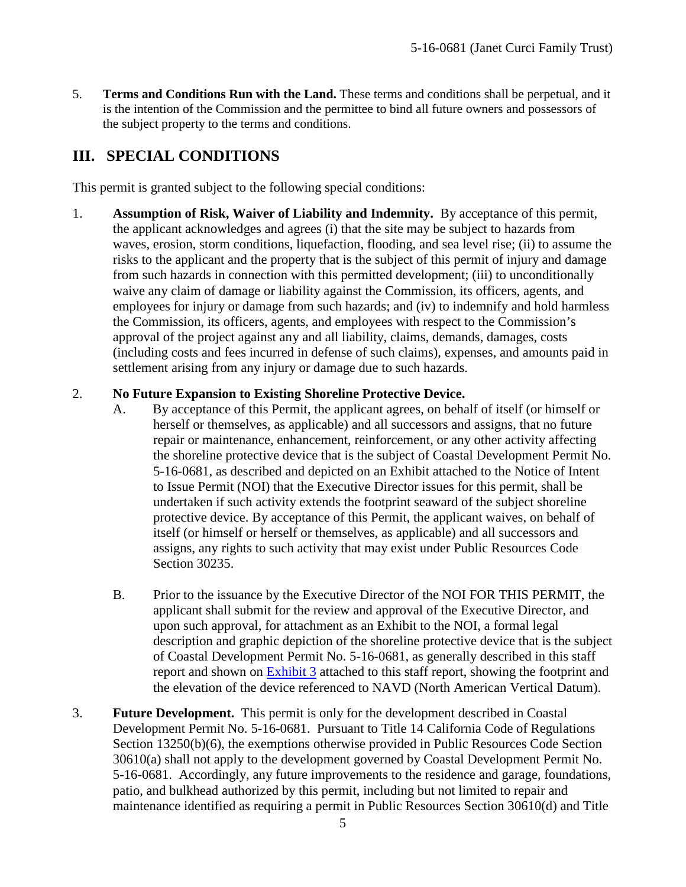5. **Terms and Conditions Run with the Land.** These terms and conditions shall be perpetual, and it is the intention of the Commission and the permittee to bind all future owners and possessors of the subject property to the terms and conditions.

# <span id="page-4-0"></span>**III. SPECIAL CONDITIONS**

This permit is granted subject to the following special conditions:

1. **Assumption of Risk, Waiver of Liability and Indemnity.** By acceptance of this permit, the applicant acknowledges and agrees (i) that the site may be subject to hazards from waves, erosion, storm conditions, liquefaction, flooding, and sea level rise; (ii) to assume the risks to the applicant and the property that is the subject of this permit of injury and damage from such hazards in connection with this permitted development; (iii) to unconditionally waive any claim of damage or liability against the Commission, its officers, agents, and employees for injury or damage from such hazards; and (iv) to indemnify and hold harmless the Commission, its officers, agents, and employees with respect to the Commission's approval of the project against any and all liability, claims, demands, damages, costs (including costs and fees incurred in defense of such claims), expenses, and amounts paid in settlement arising from any injury or damage due to such hazards.

#### 2. **No Future Expansion to Existing Shoreline Protective Device.**

- A. By acceptance of this Permit, the applicant agrees, on behalf of itself (or himself or herself or themselves, as applicable) and all successors and assigns, that no future repair or maintenance, enhancement, reinforcement, or any other activity affecting the shoreline protective device that is the subject of Coastal Development Permit No. 5-16-0681, as described and depicted on an Exhibit attached to the Notice of Intent to Issue Permit (NOI) that the Executive Director issues for this permit, shall be undertaken if such activity extends the footprint seaward of the subject shoreline protective device. By acceptance of this Permit, the applicant waives, on behalf of itself (or himself or herself or themselves, as applicable) and all successors and assigns, any rights to such activity that may exist under Public Resources Code Section 30235.
- B. Prior to the issuance by the Executive Director of the NOI FOR THIS PERMIT, the applicant shall submit for the review and approval of the Executive Director, and upon such approval, for attachment as an Exhibit to the NOI, a formal legal description and graphic depiction of the shoreline protective device that is the subject of Coastal Development Permit No. 5-16-0681, as generally described in this staff report and shown on [Exhibit 3](https://documents.coastal.ca.gov/reports/2017/5/F8c/F8c-5-2017-exhibits.pdf) attached to this staff report, showing the footprint and the elevation of the device referenced to NAVD (North American Vertical Datum).
- 3. **Future Development.** This permit is only for the development described in Coastal Development Permit No. 5-16-0681. Pursuant to Title 14 California Code of Regulations Section 13250(b)(6), the exemptions otherwise provided in Public Resources Code Section 30610(a) shall not apply to the development governed by Coastal Development Permit No. 5-16-0681. Accordingly, any future improvements to the residence and garage, foundations, patio, and bulkhead authorized by this permit, including but not limited to repair and maintenance identified as requiring a permit in Public Resources Section 30610(d) and Title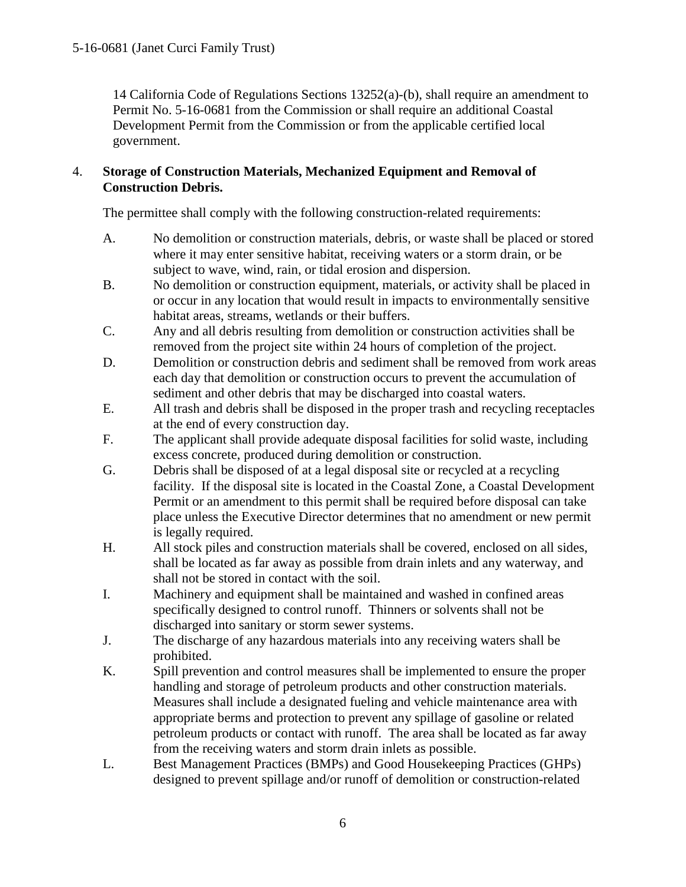14 California Code of Regulations Sections 13252(a)-(b), shall require an amendment to Permit No. 5-16-0681 from the Commission or shall require an additional Coastal Development Permit from the Commission or from the applicable certified local government.

#### 4. **Storage of Construction Materials, Mechanized Equipment and Removal of Construction Debris.**

The permittee shall comply with the following construction-related requirements:

- A. No demolition or construction materials, debris, or waste shall be placed or stored where it may enter sensitive habitat, receiving waters or a storm drain, or be subject to wave, wind, rain, or tidal erosion and dispersion.
- B. No demolition or construction equipment, materials, or activity shall be placed in or occur in any location that would result in impacts to environmentally sensitive habitat areas, streams, wetlands or their buffers.
- C. Any and all debris resulting from demolition or construction activities shall be removed from the project site within 24 hours of completion of the project.
- D. Demolition or construction debris and sediment shall be removed from work areas each day that demolition or construction occurs to prevent the accumulation of sediment and other debris that may be discharged into coastal waters.
- E. All trash and debris shall be disposed in the proper trash and recycling receptacles at the end of every construction day.
- F. The applicant shall provide adequate disposal facilities for solid waste, including excess concrete, produced during demolition or construction.
- G. Debris shall be disposed of at a legal disposal site or recycled at a recycling facility. If the disposal site is located in the Coastal Zone, a Coastal Development Permit or an amendment to this permit shall be required before disposal can take place unless the Executive Director determines that no amendment or new permit is legally required.
- H. All stock piles and construction materials shall be covered, enclosed on all sides, shall be located as far away as possible from drain inlets and any waterway, and shall not be stored in contact with the soil.
- I. Machinery and equipment shall be maintained and washed in confined areas specifically designed to control runoff. Thinners or solvents shall not be discharged into sanitary or storm sewer systems.
- J. The discharge of any hazardous materials into any receiving waters shall be prohibited.
- K. Spill prevention and control measures shall be implemented to ensure the proper handling and storage of petroleum products and other construction materials. Measures shall include a designated fueling and vehicle maintenance area with appropriate berms and protection to prevent any spillage of gasoline or related petroleum products or contact with runoff. The area shall be located as far away from the receiving waters and storm drain inlets as possible.
- L. Best Management Practices (BMPs) and Good Housekeeping Practices (GHPs) designed to prevent spillage and/or runoff of demolition or construction-related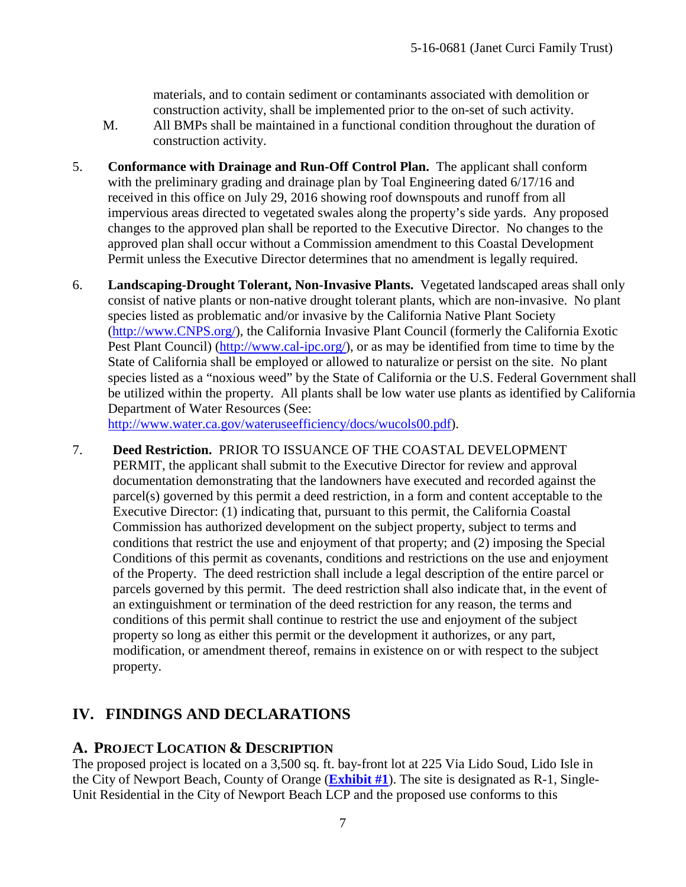materials, and to contain sediment or contaminants associated with demolition or construction activity, shall be implemented prior to the on-set of such activity.

- M. All BMPs shall be maintained in a functional condition throughout the duration of construction activity.
- 5. **Conformance with Drainage and Run-Off Control Plan.** The applicant shall conform with the preliminary grading and drainage plan by Toal Engineering dated 6/17/16 and received in this office on July 29, 2016 showing roof downspouts and runoff from all impervious areas directed to vegetated swales along the property's side yards. Any proposed changes to the approved plan shall be reported to the Executive Director. No changes to the approved plan shall occur without a Commission amendment to this Coastal Development Permit unless the Executive Director determines that no amendment is legally required.
- 6. **Landscaping-Drought Tolerant, Non-Invasive Plants.** Vegetated landscaped areas shall only consist of native plants or non-native drought tolerant plants, which are non-invasive. No plant species listed as problematic and/or invasive by the California Native Plant Society [\(http://www.CNPS.org/\)](http://www.cnps.org/), the California Invasive Plant Council (formerly the California Exotic Pest Plant Council) [\(http://www.cal-ipc.org/\)](http://www.cal-ipc.org/), or as may be identified from time to time by the State of California shall be employed or allowed to naturalize or persist on the site. No plant species listed as a "noxious weed" by the State of California or the U.S. Federal Government shall be utilized within the property. All plants shall be low water use plants as identified by California Department of Water Resources (See:

[http://www.water.ca.gov/wateruseefficiency/docs/wucols00.pdf\)](http://www.water.ca.gov/wateruseefficiency/docs/wucols00.pdf).

7. **Deed Restriction.** PRIOR TO ISSUANCE OF THE COASTAL DEVELOPMENT PERMIT, the applicant shall submit to the Executive Director for review and approval documentation demonstrating that the landowners have executed and recorded against the parcel(s) governed by this permit a deed restriction, in a form and content acceptable to the Executive Director: (1) indicating that, pursuant to this permit, the California Coastal Commission has authorized development on the subject property, subject to terms and conditions that restrict the use and enjoyment of that property; and (2) imposing the Special Conditions of this permit as covenants, conditions and restrictions on the use and enjoyment of the Property. The deed restriction shall include a legal description of the entire parcel or parcels governed by this permit. The deed restriction shall also indicate that, in the event of an extinguishment or termination of the deed restriction for any reason, the terms and conditions of this permit shall continue to restrict the use and enjoyment of the subject property so long as either this permit or the development it authorizes, or any part, modification, or amendment thereof, remains in existence on or with respect to the subject property.

# <span id="page-6-0"></span>**IV. FINDINGS AND DECLARATIONS**

# <span id="page-6-1"></span>**A. PROJECT LOCATION & DESCRIPTION**

The proposed project is located on a 3,500 sq. ft. bay-front lot at 225 Via Lido Soud, Lido Isle in the City of Newport Beach, County of Orange (**[Exhibit #1](https://documents.coastal.ca.gov/reports/2017/5/F8c/F8c-5-2017-exhibits.pdf)**). The site is designated as R-1, Single-Unit Residential in the City of Newport Beach LCP and the proposed use conforms to this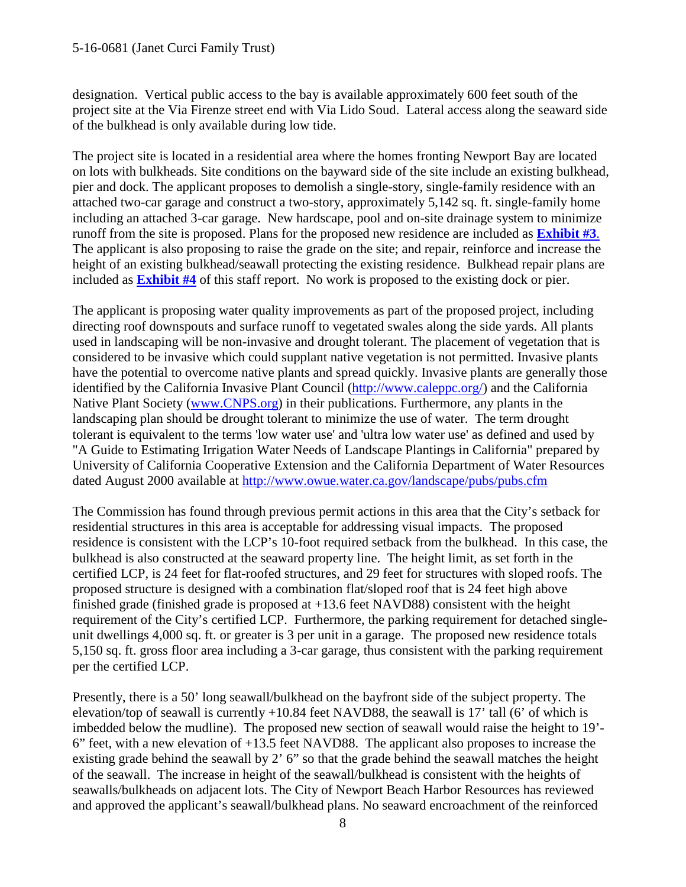#### 5-16-0681 (Janet Curci Family Trust)

designation. Vertical public access to the bay is available approximately 600 feet south of the project site at the Via Firenze street end with Via Lido Soud. Lateral access along the seaward side of the bulkhead is only available during low tide.

The project site is located in a residential area where the homes fronting Newport Bay are located on lots with bulkheads. Site conditions on the bayward side of the site include an existing bulkhead, pier and dock. The applicant proposes to demolish a single-story, single-family residence with an attached two-car garage and construct a two-story, approximately 5,142 sq. ft. single-family home including an attached 3-car garage. New hardscape, pool and on-site drainage system to minimize runoff from the site is proposed. Plans for the proposed new residence are included as **[Exhibit #3](https://documents.coastal.ca.gov/reports/2017/5/F8c/F8c-5-2017-exhibits.pdf)**. The applicant is also proposing to raise the grade on the site; and repair, reinforce and increase the height of an existing bulkhead/seawall protecting the existing residence. Bulkhead repair plans are included as **[Exhibit #4](https://documents.coastal.ca.gov/reports/2017/5/F8c/F8c-5-2017-exhibits.pdf)** of this staff report. No work is proposed to the existing dock or pier.

The applicant is proposing water quality improvements as part of the proposed project, including directing roof downspouts and surface runoff to vegetated swales along the side yards. All plants used in landscaping will be non-invasive and drought tolerant. The placement of vegetation that is considered to be invasive which could supplant native vegetation is not permitted. Invasive plants have the potential to overcome native plants and spread quickly. Invasive plants are generally those identified by the California Invasive Plant Council [\(http://www.caleppc.org/\)](http://www.caleppc.org/) and the California Native Plant Society [\(www.CNPS.org\)](http://www.cnps.org/) in their publications. Furthermore, any plants in the landscaping plan should be drought tolerant to minimize the use of water. The term drought tolerant is equivalent to the terms 'low water use' and 'ultra low water use' as defined and used by "A Guide to Estimating Irrigation Water Needs of Landscape Plantings in California" prepared by University of California Cooperative Extension and the California Department of Water Resources dated August 2000 available at<http://www.owue.water.ca.gov/landscape/pubs/pubs.cfm>

The Commission has found through previous permit actions in this area that the City's setback for residential structures in this area is acceptable for addressing visual impacts. The proposed residence is consistent with the LCP's 10-foot required setback from the bulkhead. In this case, the bulkhead is also constructed at the seaward property line. The height limit, as set forth in the certified LCP, is 24 feet for flat-roofed structures, and 29 feet for structures with sloped roofs. The proposed structure is designed with a combination flat/sloped roof that is 24 feet high above finished grade (finished grade is proposed at +13.6 feet NAVD88) consistent with the height requirement of the City's certified LCP. Furthermore, the parking requirement for detached singleunit dwellings 4,000 sq. ft. or greater is 3 per unit in a garage. The proposed new residence totals 5,150 sq. ft. gross floor area including a 3-car garage, thus consistent with the parking requirement per the certified LCP.

Presently, there is a 50' long seawall/bulkhead on the bayfront side of the subject property. The elevation/top of seawall is currently +10.84 feet NAVD88, the seawall is 17' tall (6' of which is imbedded below the mudline). The proposed new section of seawall would raise the height to 19'- 6" feet, with a new elevation of +13.5 feet NAVD88. The applicant also proposes to increase the existing grade behind the seawall by 2' 6" so that the grade behind the seawall matches the height of the seawall. The increase in height of the seawall/bulkhead is consistent with the heights of seawalls/bulkheads on adjacent lots. The City of Newport Beach Harbor Resources has reviewed and approved the applicant's seawall/bulkhead plans. No seaward encroachment of the reinforced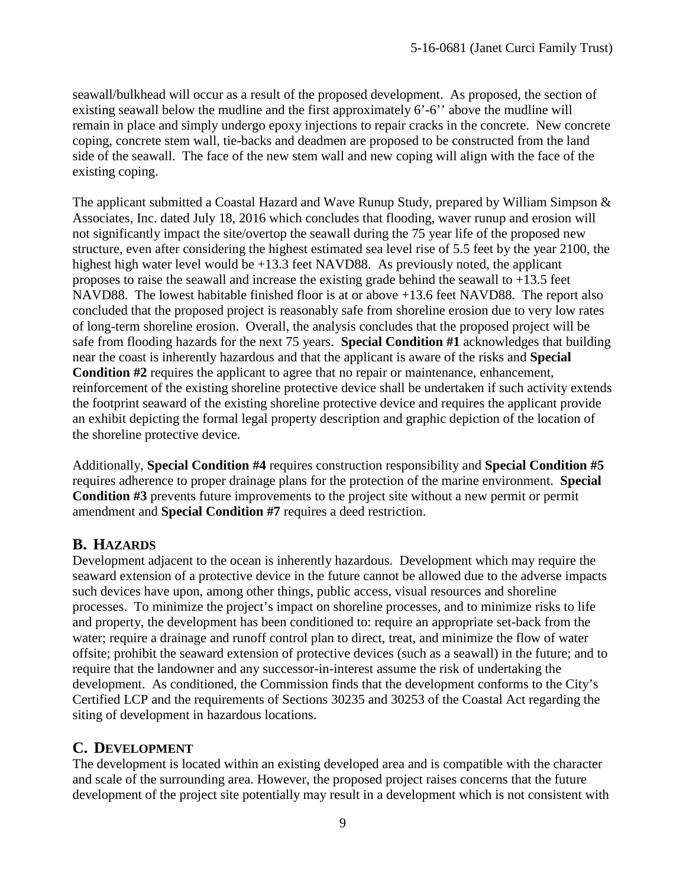seawall/bulkhead will occur as a result of the proposed development. As proposed, the section of existing seawall below the mudline and the first approximately 6'-6'' above the mudline will remain in place and simply undergo epoxy injections to repair cracks in the concrete. New concrete coping, concrete stem wall, tie-backs and deadmen are proposed to be constructed from the land side of the seawall. The face of the new stem wall and new coping will align with the face of the existing coping.

The applicant submitted a Coastal Hazard and Wave Runup Study, prepared by William Simpson & Associates, Inc. dated July 18, 2016 which concludes that flooding, waver runup and erosion will not significantly impact the site/overtop the seawall during the 75 year life of the proposed new structure, even after considering the highest estimated sea level rise of 5.5 feet by the year 2100, the highest high water level would be +13.3 feet NAVD88. As previously noted, the applicant proposes to raise the seawall and increase the existing grade behind the seawall to  $+13.5$  feet NAVD88. The lowest habitable finished floor is at or above +13.6 feet NAVD88. The report also concluded that the proposed project is reasonably safe from shoreline erosion due to very low rates of long-term shoreline erosion. Overall, the analysis concludes that the proposed project will be safe from flooding hazards for the next 75 years. **Special Condition #1** acknowledges that building near the coast is inherently hazardous and that the applicant is aware of the risks and **Special Condition #2** requires the applicant to agree that no repair or maintenance, enhancement, reinforcement of the existing shoreline protective device shall be undertaken if such activity extends the footprint seaward of the existing shoreline protective device and requires the applicant provide an exhibit depicting the formal legal property description and graphic depiction of the location of the shoreline protective device.

Additionally, **Special Condition #4** requires construction responsibility and **Special Condition #5** requires adherence to proper drainage plans for the protection of the marine environment. **Special Condition #3** prevents future improvements to the project site without a new permit or permit amendment and **Special Condition #7** requires a deed restriction.

# <span id="page-8-0"></span>**B. HAZARDS**

Development adjacent to the ocean is inherently hazardous. Development which may require the seaward extension of a protective device in the future cannot be allowed due to the adverse impacts such devices have upon, among other things, public access, visual resources and shoreline processes. To minimize the project's impact on shoreline processes, and to minimize risks to life and property, the development has been conditioned to: require an appropriate set-back from the water; require a drainage and runoff control plan to direct, treat, and minimize the flow of water offsite; prohibit the seaward extension of protective devices (such as a seawall) in the future; and to require that the landowner and any successor-in-interest assume the risk of undertaking the development. As conditioned, the Commission finds that the development conforms to the City's Certified LCP and the requirements of Sections 30235 and 30253 of the Coastal Act regarding the siting of development in hazardous locations.

# <span id="page-8-1"></span>**C. DEVELOPMENT**

The development is located within an existing developed area and is compatible with the character and scale of the surrounding area. However, the proposed project raises concerns that the future development of the project site potentially may result in a development which is not consistent with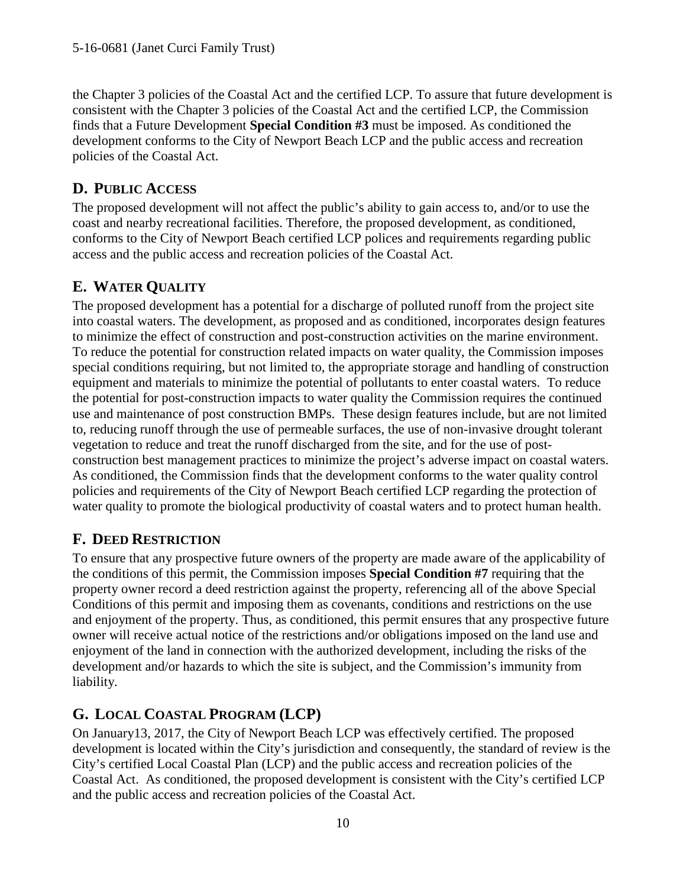the Chapter 3 policies of the Coastal Act and the certified LCP. To assure that future development is consistent with the Chapter 3 policies of the Coastal Act and the certified LCP, the Commission finds that a Future Development **Special Condition #3** must be imposed. As conditioned the development conforms to the City of Newport Beach LCP and the public access and recreation policies of the Coastal Act.

# <span id="page-9-0"></span>**D. PUBLIC ACCESS**

The proposed development will not affect the public's ability to gain access to, and/or to use the coast and nearby recreational facilities. Therefore, the proposed development, as conditioned, conforms to the City of Newport Beach certified LCP polices and requirements regarding public access and the public access and recreation policies of the Coastal Act.

# <span id="page-9-1"></span>**E. WATER QUALITY**

The proposed development has a potential for a discharge of polluted runoff from the project site into coastal waters. The development, as proposed and as conditioned, incorporates design features to minimize the effect of construction and post-construction activities on the marine environment. To reduce the potential for construction related impacts on water quality, the Commission imposes special conditions requiring, but not limited to, the appropriate storage and handling of construction equipment and materials to minimize the potential of pollutants to enter coastal waters. To reduce the potential for post-construction impacts to water quality the Commission requires the continued use and maintenance of post construction BMPs. These design features include, but are not limited to, reducing runoff through the use of permeable surfaces, the use of non-invasive drought tolerant vegetation to reduce and treat the runoff discharged from the site, and for the use of postconstruction best management practices to minimize the project's adverse impact on coastal waters. As conditioned, the Commission finds that the development conforms to the water quality control policies and requirements of the City of Newport Beach certified LCP regarding the protection of water quality to promote the biological productivity of coastal waters and to protect human health.

# <span id="page-9-2"></span>**F. DEED RESTRICTION**

To ensure that any prospective future owners of the property are made aware of the applicability of the conditions of this permit, the Commission imposes **Special Condition #7** requiring that the property owner record a deed restriction against the property, referencing all of the above Special Conditions of this permit and imposing them as covenants, conditions and restrictions on the use and enjoyment of the property. Thus, as conditioned, this permit ensures that any prospective future owner will receive actual notice of the restrictions and/or obligations imposed on the land use and enjoyment of the land in connection with the authorized development, including the risks of the development and/or hazards to which the site is subject, and the Commission's immunity from liability.

# <span id="page-9-3"></span>**G. LOCAL COASTAL PROGRAM (LCP)**

On January13, 2017, the City of Newport Beach LCP was effectively certified. The proposed development is located within the City's jurisdiction and consequently, the standard of review is the City's certified Local Coastal Plan (LCP) and the public access and recreation policies of the Coastal Act. As conditioned, the proposed development is consistent with the City's certified LCP and the public access and recreation policies of the Coastal Act.